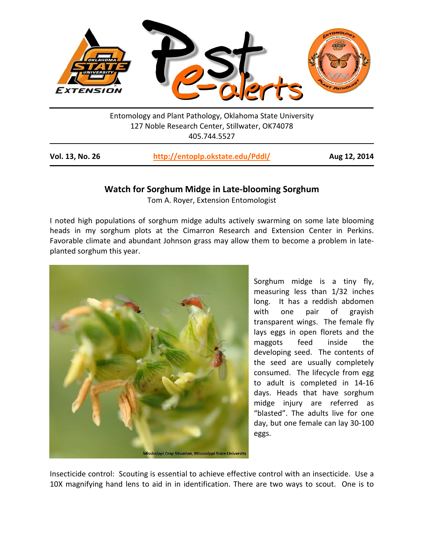

Entomology and Plant Pathology, Oklahoma State University 127 Noble Research Center, Stillwater, OK74078 405.744.5527

| Vol. 13, No. 26 | http://entoplp.okstate.edu/Pddl/ | Aug 12, 2014 |
|-----------------|----------------------------------|--------------|
|                 |                                  |              |

## **Watch for Sorghum Midge in Late-blooming Sorghum**

Tom A. Royer, Extension Entomologist

I noted high populations of sorghum midge adults actively swarming on some late blooming heads in my sorghum plots at the Cimarron Research and Extension Center in Perkins. Favorable climate and abundant Johnson grass may allow them to become a problem in lateplanted sorghum this year.



Sorghum midge is a tiny fly, measuring less than 1/32 inches long. It has a reddish abdomen with one pair of grayish transparent wings. The female fly lays eggs in open florets and the maggots feed inside the developing seed. The contents of the seed are usually completely consumed. The lifecycle from egg to adult is completed in 14-16 days. Heads that have sorghum midge injury are referred as "blasted". The adults live for one day, but one female can lay 30-100 eggs.

Insecticide control: Scouting is essential to achieve effective control with an insecticide. Use a 10X magnifying hand lens to aid in in identification. There are two ways to scout. One is to